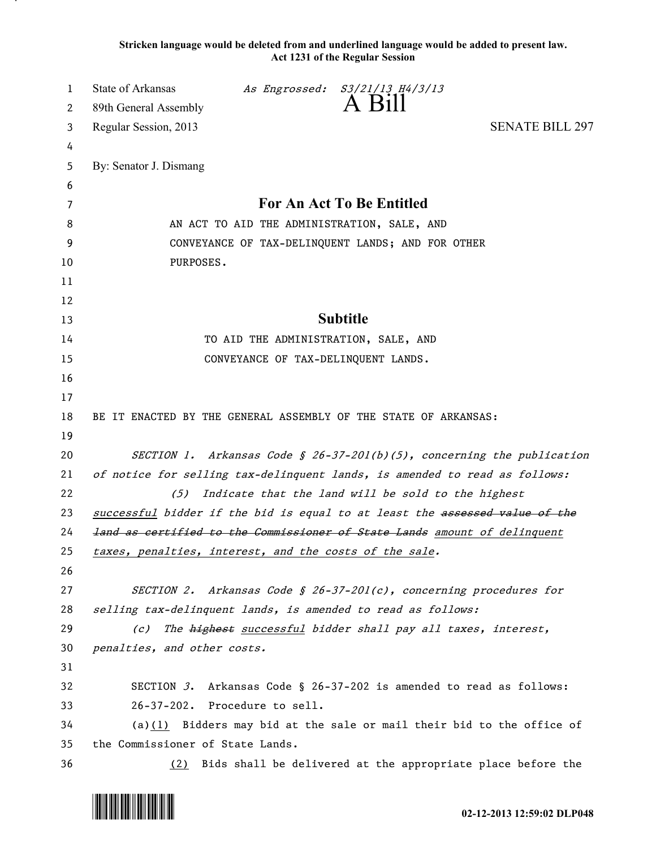**Stricken language would be deleted from and underlined language would be added to present law. Act 1231 of the Regular Session**

| 1  | State of Arkansas                                                           |                                     | As Engrossed: S3/21/13 H4/3/13                                     |                                                                     |  |
|----|-----------------------------------------------------------------------------|-------------------------------------|--------------------------------------------------------------------|---------------------------------------------------------------------|--|
| 2  | 89th General Assembly                                                       |                                     | A Bill                                                             |                                                                     |  |
| 3  | Regular Session, 2013                                                       |                                     |                                                                    | <b>SENATE BILL 297</b>                                              |  |
| 4  |                                                                             |                                     |                                                                    |                                                                     |  |
| 5  | By: Senator J. Dismang                                                      |                                     |                                                                    |                                                                     |  |
| 6  |                                                                             |                                     |                                                                    |                                                                     |  |
| 7  | For An Act To Be Entitled                                                   |                                     |                                                                    |                                                                     |  |
| 8  | AN ACT TO AID THE ADMINISTRATION, SALE, AND                                 |                                     |                                                                    |                                                                     |  |
| 9  | CONVEYANCE OF TAX-DELINQUENT LANDS; AND FOR OTHER                           |                                     |                                                                    |                                                                     |  |
| 10 | PURPOSES.                                                                   |                                     |                                                                    |                                                                     |  |
| 11 |                                                                             |                                     |                                                                    |                                                                     |  |
| 12 |                                                                             |                                     |                                                                    |                                                                     |  |
| 13 |                                                                             |                                     | <b>Subtitle</b>                                                    |                                                                     |  |
| 14 | TO AID THE ADMINISTRATION, SALE, AND                                        |                                     |                                                                    |                                                                     |  |
| 15 |                                                                             | CONVEYANCE OF TAX-DELINQUENT LANDS. |                                                                    |                                                                     |  |
| 16 |                                                                             |                                     |                                                                    |                                                                     |  |
| 17 |                                                                             |                                     |                                                                    |                                                                     |  |
| 18 | BE IT ENACTED BY THE GENERAL ASSEMBLY OF THE STATE OF ARKANSAS:             |                                     |                                                                    |                                                                     |  |
| 19 |                                                                             |                                     |                                                                    |                                                                     |  |
| 20 | SECTION 1. Arkansas Code § 26-37-201(b)(5), concerning the publication      |                                     |                                                                    |                                                                     |  |
| 21 | of notice for selling tax-delinquent lands, is amended to read as follows:  |                                     |                                                                    |                                                                     |  |
| 22 | (5)                                                                         |                                     | Indicate that the land will be sold to the highest                 |                                                                     |  |
| 23 | successful bidder if the bid is equal to at least the assessed value of the |                                     |                                                                    |                                                                     |  |
| 24 | land as certified to the Commissioner of State Lands amount of delinquent   |                                     |                                                                    |                                                                     |  |
| 25 | taxes, penalties, interest, and the costs of the sale.                      |                                     |                                                                    |                                                                     |  |
| 26 |                                                                             |                                     |                                                                    |                                                                     |  |
| 27 |                                                                             |                                     | SECTION 2. Arkansas Code § 26-37-201(c), concerning procedures for |                                                                     |  |
| 28 | selling tax-delinquent lands, is amended to read as follows:                |                                     |                                                                    |                                                                     |  |
| 29 | The highest successful bidder shall pay all taxes, interest,<br>(c)         |                                     |                                                                    |                                                                     |  |
| 30 | penalties, and other costs.                                                 |                                     |                                                                    |                                                                     |  |
| 31 |                                                                             |                                     |                                                                    |                                                                     |  |
| 32 |                                                                             |                                     |                                                                    | SECTION 3. Arkansas Code § 26-37-202 is amended to read as follows: |  |
| 33 | 26-37-202. Procedure to sell.                                               |                                     |                                                                    |                                                                     |  |
| 34 | (a) $(1)$ Bidders may bid at the sale or mail their bid to the office of    |                                     |                                                                    |                                                                     |  |
| 35 | the Commissioner of State Lands.                                            |                                     |                                                                    |                                                                     |  |
| 36 | (2)                                                                         |                                     |                                                                    | Bids shall be delivered at the appropriate place before the         |  |

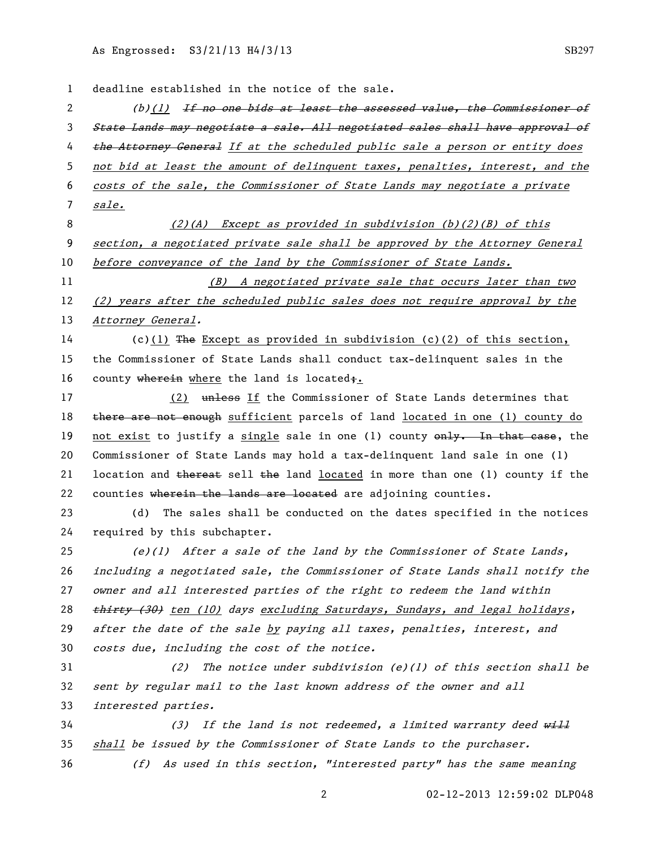02-12-2013 12:59:02 DLP048 deadline established in the notice of the sale. 2 (b)(1) If no one bids at least the assessed value, the Commissioner of State Lands may negotiate a sale. All negotiated sales shall have approval of 4 the Attorney General If at the scheduled public sale a person or entity does not bid at least the amount of delinquent taxes, penalties, interest, and the costs of the sale, the Commissioner of State Lands may negotiate a private sale. (2)(A) Except as provided in subdivision (b)(2)(B) of this section, a negotiated private sale shall be approved by the Attorney General 10 before conveyance of the land by the Commissioner of State Lands. (B) A negotiated private sale that occurs later than two (2) years after the scheduled public sales does not require approval by the 13 Attorney General. (c)(1) The Except as provided in subdivision (c)(2) of this section, the Commissioner of State Lands shall conduct tax-delinquent sales in the 16 county wherein where the land is located;. 17 (2) unless If the Commissioner of State Lands determines that 18 there are not enough sufficient parcels of land located in one (1) county do 19 not exist to justify a single sale in one (1) county only. In that case, the Commissioner of State Lands may hold a tax-delinquent land sale in one (1) 21 location and thereat sell the land located in more than one (1) county if the 22 counties wherein the lands are located are adjoining counties. (d) The sales shall be conducted on the dates specified in the notices required by this subchapter. 25 (e)(1) After a sale of the land by the Commissioner of State Lands, including a negotiated sale, the Commissioner of State Lands shall notify the owner and all interested parties of the right to redeem the land within 28 thirty (30) ten (10) days excluding Saturdays, Sundays, and legal holidays, 29 after the date of the sale by paying all taxes, penalties, interest, and costs due, including the cost of the notice. (2) The notice under subdivision (e)(1) of this section shall be sent by regular mail to the last known address of the owner and all interested parties. 34 (3) If the land is not redeemed, a limited warranty deed will shall be issued by the Commissioner of State Lands to the purchaser. (f) As used in this section, "interested party" has the same meaning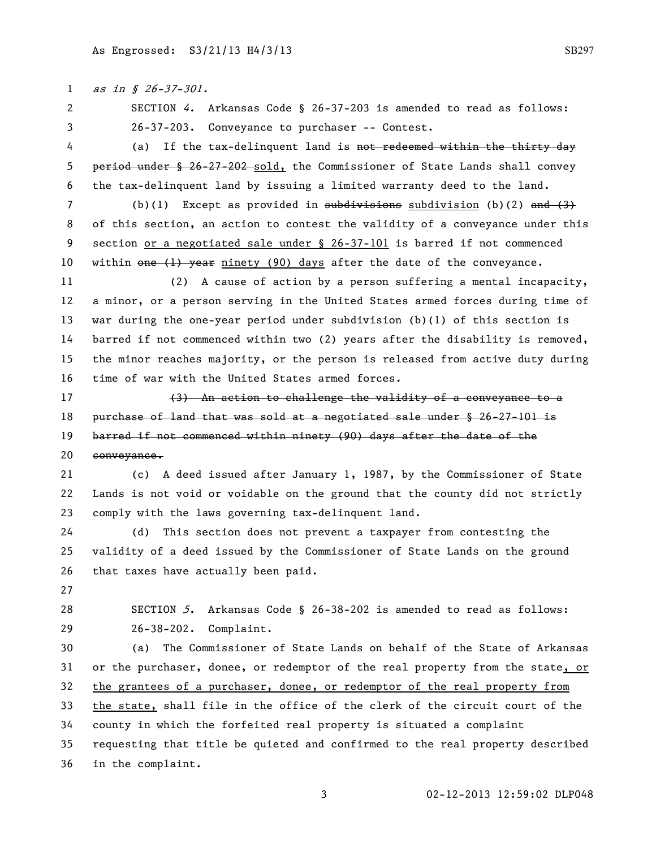1 as in § 26-37-301. SECTION 4. Arkansas Code § 26-37-203 is amended to read as follows: 26-37-203. Conveyance to purchaser -- Contest. 4 (a) If the tax-delinquent land is not redeemed within the thirty day 5 period under § 26-27-202 sold, the Commissioner of State Lands shall convey the tax-delinquent land by issuing a limited warranty deed to the land. 7 (b)(1) Except as provided in  $\frac{1}{100}$  subdivision (b)(2) and (3) of this section, an action to contest the validity of a conveyance under this section or a negotiated sale under § 26-37-101 is barred if not commenced 10 within one (1) year ninety (90) days after the date of the conveyance. (2) A cause of action by a person suffering a mental incapacity, a minor, or a person serving in the United States armed forces during time of war during the one-year period under subdivision (b)(1) of this section is barred if not commenced within two (2) years after the disability is removed, the minor reaches majority, or the person is released from active duty during time of war with the United States armed forces. 17 (3) An action to challenge the validity of a conveyance to a 18 purchase of land that was sold at a negotiated sale under § 26-27-101 is 19 barred if not commenced within ninety (90) days after the date of the conveyance. (c) A deed issued after January 1, 1987, by the Commissioner of State Lands is not void or voidable on the ground that the county did not strictly comply with the laws governing tax-delinquent land. (d) This section does not prevent a taxpayer from contesting the validity of a deed issued by the Commissioner of State Lands on the ground that taxes have actually been paid. SECTION 5. Arkansas Code § 26-38-202 is amended to read as follows: 26-38-202. Complaint. (a) The Commissioner of State Lands on behalf of the State of Arkansas or the purchaser, donee, or redemptor of the real property from the state, or the grantees of a purchaser, donee, or redemptor of the real property from the state, shall file in the office of the clerk of the circuit court of the county in which the forfeited real property is situated a complaint

 requesting that title be quieted and confirmed to the real property described in the complaint.